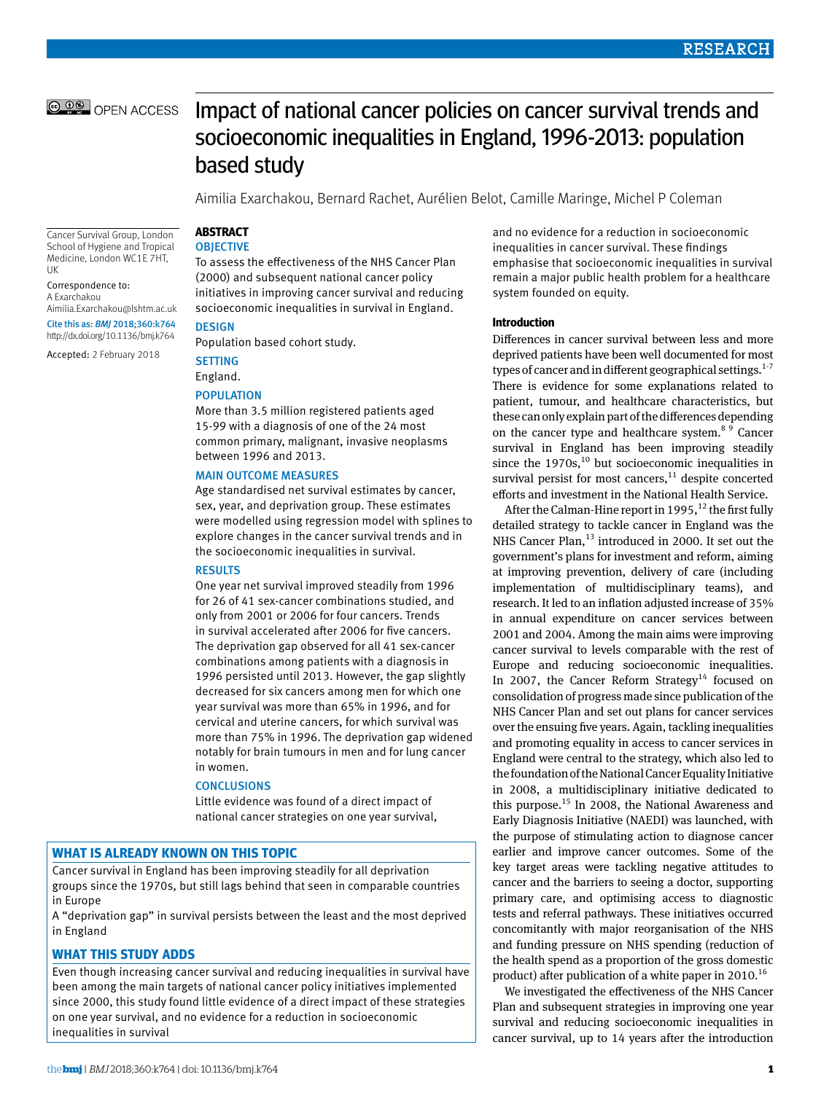

# Impact of national cancer policies on cancer survival trends and socioeconomic inequalities in England, 1996-2013: population based study

Aimilia Exarchakou, Bernard Rachet, Aurélien Belot, Camille Maringe, Michel P Coleman

#### Cancer Survival Group, London School of Hygiene and Tropical Medicine, London WC1E 7HT,

Correspondence to: A Exarchakou

UK

[Aimilia.Exarchakou@lshtm.ac.uk](mailto:Aimilia.Exarchakou@lshtm.ac.uk) Cite this as: *BMJ* 2018;360:k764

http://dx.doi.org/10.1136/bmj.k764

Accepted: 2 February 2018

**ABSTRACT**

# **OBJECTIVE**

To assess the effectiveness of the NHS Cancer Plan (2000) and subsequent national cancer policy initiatives in improving cancer survival and reducing socioeconomic inequalities in survival in England.

# DESIGN

Population based cohort study.

**SETTING** 

# England.

POPULATION

More than 3.5 million registered patients aged 15-99 with a diagnosis of one of the 24 most common primary, malignant, invasive neoplasms between 1996 and 2013.

# MAIN OUTCOME MEASURES

Age standardised net survival estimates by cancer, sex, year, and deprivation group. These estimates were modelled using regression model with splines to explore changes in the cancer survival trends and in the socioeconomic inequalities in survival.

#### RESULTS

One year net survival improved steadily from 1996 for 26 of 41 sex-cancer combinations studied, and only from 2001 or 2006 for four cancers. Trends in survival accelerated after 2006 for five cancers. The deprivation gap observed for all 41 sex-cancer combinations among patients with a diagnosis in 1996 persisted until 2013. However, the gap slightly decreased for six cancers among men for which one year survival was more than 65% in 1996, and for cervical and uterine cancers, for which survival was more than 75% in 1996. The deprivation gap widened notably for brain tumours in men and for lung cancer in women.

#### **CONCLUSIONS**

Little evidence was found of a direct impact of national cancer strategies on one year survival,

# **What is already known on this topic**

Cancer survival in England has been improving steadily for all deprivation groups since the 1970s, but still lags behind that seen in comparable countries in Europe

A "deprivation gap" in survival persists between the least and the most deprived in England

# **What this study adds**

Even though increasing cancer survival and reducing inequalities in survival have been among the main targets of national cancer policy initiatives implemented since 2000, this study found little evidence of a direct impact of these strategies on one year survival, and no evidence for a reduction in socioeconomic inequalities in survival

and no evidence for a reduction in socioeconomic inequalities in cancer survival. These findings emphasise that socioeconomic inequalities in survival remain a major public health problem for a healthcare system founded on equity.

#### **Introduction**

Differences in cancer survival between less and more deprived patients have been well documented for most types of cancer and in different geographical settings.<sup>1-7</sup> There is evidence for some explanations related to patient, tumour, and healthcare characteristics, but these can only explain part of the differences depending on the cancer type and healthcare system.<sup>8 9</sup> Cancer survival in England has been improving steadily since the  $1970s$ ,<sup>10</sup> but socioeconomic inequalities in survival persist for most cancers, $11$  despite concerted efforts and investment in the National Health Service.

After the Calman-Hine report in 1995, $^{12}$  the first fully detailed strategy to tackle cancer in England was the NHS Cancer Plan,<sup>13</sup> introduced in 2000. It set out the government's plans for investment and reform, aiming at improving prevention, delivery of care (including implementation of multidisciplinary teams), and research. It led to an inflation adjusted increase of 35% in annual expenditure on cancer services between 2001 and 2004. Among the main aims were improving cancer survival to levels comparable with the rest of Europe and reducing socioeconomic inequalities. In 2007, the Cancer Reform Strategy<sup>14</sup> focused on consolidation of progress made since publication of the NHS Cancer Plan and set out plans for cancer services over the ensuing five years. Again, tackling inequalities and promoting equality in access to cancer services in England were central to the strategy, which also led to the foundation of the National Cancer Equality Initiative in 2008, a multidisciplinary initiative dedicated to this purpose.<sup>15</sup> In 2008, the National Awareness and Early Diagnosis Initiative (NAEDI) was launched, with the purpose of stimulating action to diagnose cancer earlier and improve cancer outcomes. Some of the key target areas were tackling negative attitudes to cancer and the barriers to seeing a doctor, supporting primary care, and optimising access to diagnostic tests and referral pathways. These initiatives occurred concomitantly with major reorganisation of the NHS and funding pressure on NHS spending (reduction of the health spend as a proportion of the gross domestic product) after publication of a white paper in 2010.<sup>16</sup>

We investigated the effectiveness of the NHS Cancer Plan and subsequent strategies in improving one year survival and reducing socioeconomic inequalities in cancer survival, up to 14 years after the introduction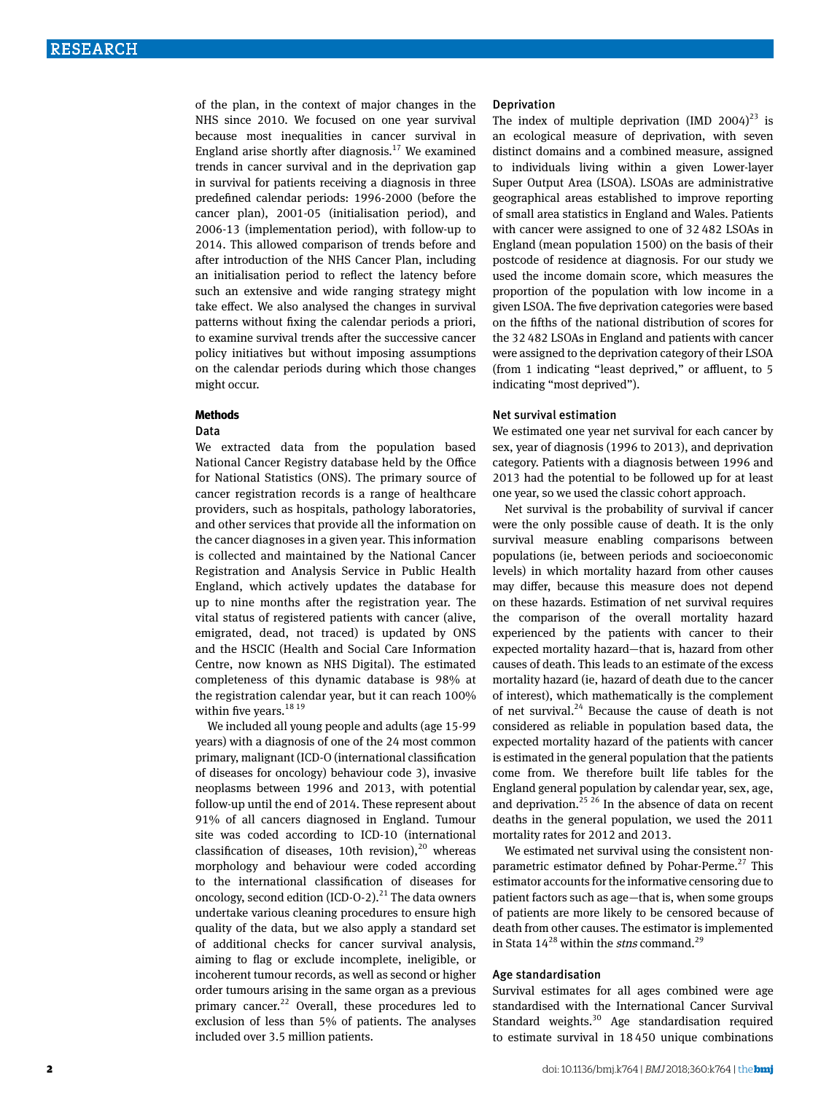of the plan, in the context of major changes in the NHS since 2010. We focused on one year survival because most inequalities in cancer survival in England arise shortly after diagnosis.<sup>17</sup> We examined trends in cancer survival and in the deprivation gap in survival for patients receiving a diagnosis in three predefined calendar periods: 1996-2000 (before the cancer plan), 2001-05 (initialisation period), and 2006-13 (implementation period), with follow-up to 2014. This allowed comparison of trends before and after introduction of the NHS Cancer Plan, including an initialisation period to reflect the latency before such an extensive and wide ranging strategy might take effect. We also analysed the changes in survival patterns without fixing the calendar periods a priori, to examine survival trends after the successive cancer policy initiatives but without imposing assumptions on the calendar periods during which those changes might occur.

# **Methods**

#### Data

We extracted data from the population based National Cancer Registry database held by the Office for National Statistics (ONS). The primary source of cancer registration records is a range of healthcare providers, such as hospitals, pathology laboratories, and other services that provide all the information on the cancer diagnoses in a given year. This information is collected and maintained by the National Cancer Registration and Analysis Service in Public Health England, which actively updates the database for up to nine months after the registration year. The vital status of registered patients with cancer (alive, emigrated, dead, not traced) is updated by ONS and the HSCIC (Health and Social Care Information Centre, now known as NHS Digital). The estimated completeness of this dynamic database is 98% at the registration calendar year, but it can reach 100% within five years.<sup>18 19</sup>

We included all young people and adults (age 15-99 years) with a diagnosis of one of the 24 most common primary, malignant (ICD-O (international classification of diseases for oncology) behaviour code 3), invasive neoplasms between 1996 and 2013, with potential follow-up until the end of 2014. These represent about 91% of all cancers diagnosed in England. Tumour site was coded according to ICD-10 (international classification of diseases, 10th revision),<sup>20</sup> whereas morphology and behaviour were coded according to the international classification of diseases for oncology, second edition (ICD-O-2).<sup>21</sup> The data owners undertake various cleaning procedures to ensure high quality of the data, but we also apply a standard set of additional checks for cancer survival analysis, aiming to flag or exclude incomplete, ineligible, or incoherent tumour records, as well as second or higher order tumours arising in the same organ as a previous primary cancer.<sup>22</sup> Overall, these procedures led to exclusion of less than 5% of patients. The analyses included over 3.5 million patients.

#### Deprivation

The index of multiple deprivation (IMD 2004)<sup>23</sup> is an ecological measure of deprivation, with seven distinct domains and a combined measure, assigned to individuals living within a given Lower-layer Super Output Area (LSOA). LSOAs are administrative geographical areas established to improve reporting of small area statistics in England and Wales. Patients with cancer were assigned to one of 32 482 LSOAs in England (mean population 1500) on the basis of their postcode of residence at diagnosis. For our study we used the income domain score, which measures the proportion of the population with low income in a given LSOA. The five deprivation categories were based on the fifths of the national distribution of scores for the 32 482 LSOAs in England and patients with cancer were assigned to the deprivation category of their LSOA (from 1 indicating "least deprived," or affluent, to 5 indicating "most deprived").

#### Net survival estimation

We estimated one year net survival for each cancer by sex, year of diagnosis (1996 to 2013), and deprivation category. Patients with a diagnosis between 1996 and 2013 had the potential to be followed up for at least one year, so we used the classic cohort approach.

Net survival is the probability of survival if cancer were the only possible cause of death. It is the only survival measure enabling comparisons between populations (ie, between periods and socioeconomic levels) in which mortality hazard from other causes may differ, because this measure does not depend on these hazards. Estimation of net survival requires the comparison of the overall mortality hazard experienced by the patients with cancer to their expected mortality hazard—that is, hazard from other causes of death. This leads to an estimate of the excess mortality hazard (ie, hazard of death due to the cancer of interest), which mathematically is the complement of net survival. $24$  Because the cause of death is not considered as reliable in population based data, the expected mortality hazard of the patients with cancer is estimated in the general population that the patients come from. We therefore built life tables for the England general population by calendar year, sex, age, and deprivation.<sup>25 26</sup> In the absence of data on recent deaths in the general population, we used the 2011 mortality rates for 2012 and 2013.

We estimated net survival using the consistent nonparametric estimator defined by Pohar-Perme.<sup>27</sup> This estimator accounts for the informative censoring due to patient factors such as age—that is, when some groups of patients are more likely to be censored because of death from other causes. The estimator is implemented in Stata  $14^{28}$  within the *stns* command.<sup>29</sup>

# Age standardisation

Survival estimates for all ages combined were age standardised with the International Cancer Survival Standard weights.<sup>30</sup> Age standardisation required to estimate survival in 18 450 unique combinations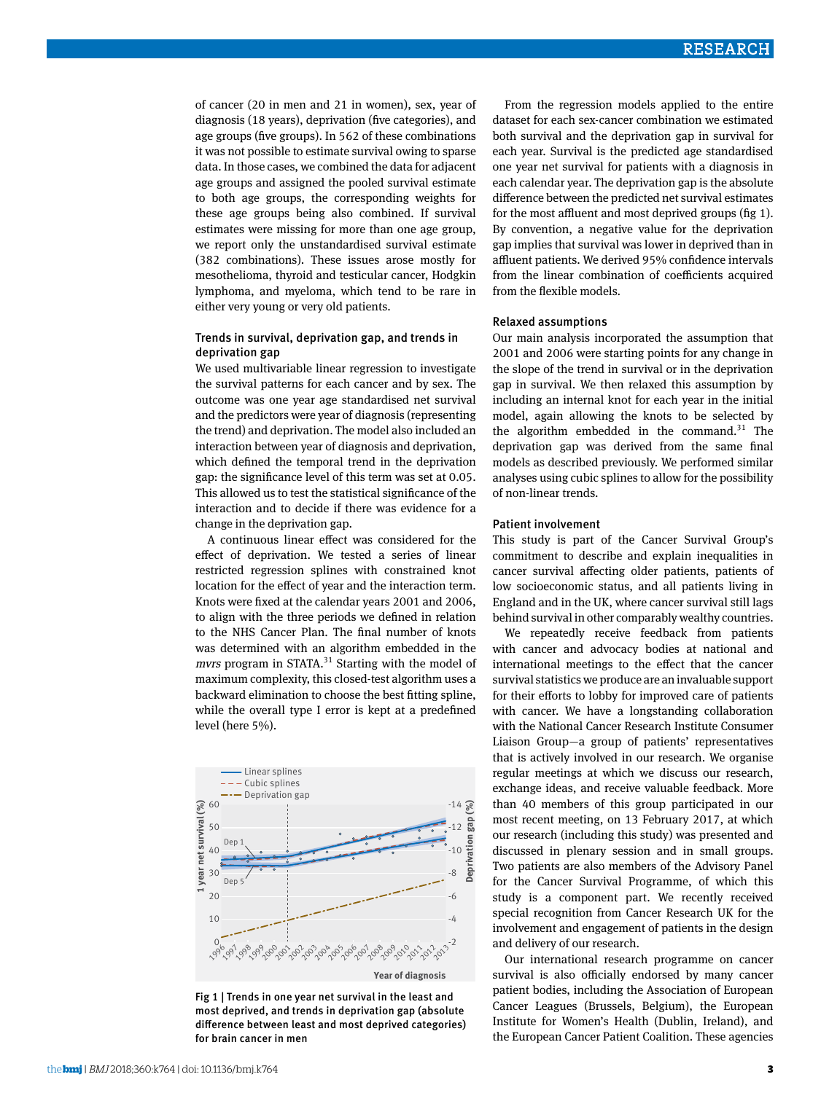of cancer (20 in men and 21 in women), sex, year of diagnosis (18 years), deprivation (five categories), and age groups (five groups). In 562 of these combinations it was not possible to estimate survival owing to sparse data. In those cases, we combined the data for adjacent age groups and assigned the pooled survival estimate to both age groups, the corresponding weights for these age groups being also combined. If survival estimates were missing for more than one age group, we report only the unstandardised survival estimate (382 combinations). These issues arose mostly for mesothelioma, thyroid and testicular cancer, Hodgkin lymphoma, and myeloma, which tend to be rare in either very young or very old patients.

# Trends in survival, deprivation gap, and trends in deprivation gap

We used multivariable linear regression to investigate the survival patterns for each cancer and by sex. The outcome was one year age standardised net survival and the predictors were year of diagnosis (representing the trend) and deprivation. The model also included an interaction between year of diagnosis and deprivation, which defined the temporal trend in the deprivation gap: the significance level of this term was set at 0.05. This allowed us to test the statistical significance of the interaction and to decide if there was evidence for a change in the deprivation gap.

A continuous linear effect was considered for the effect of deprivation. We tested a series of linear restricted regression splines with constrained knot location for the effect of year and the interaction term. Knots were fixed at the calendar years 2001 and 2006, to align with the three periods we defined in relation to the NHS Cancer Plan. The final number of knots was determined with an algorithm embedded in the mvrs program in STATA. $31$  Starting with the model of maximum complexity, this closed-test algorithm uses a backward elimination to choose the best fitting spline, while the overall type I error is kept at a predefined level (here 5%).



Fig 1 | Trends in one year net survival in the least and most deprived, and trends in deprivation gap (absolute difference between least and most deprived categories) for brain cancer in men

From the regression models applied to the entire dataset for each sex-cancer combination we estimated both survival and the deprivation gap in survival for each year. Survival is the predicted age standardised one year net survival for patients with a diagnosis in each calendar year. The deprivation gap is the absolute difference between the predicted net survival estimates for the most affluent and most deprived groups (fig 1). By convention, a negative value for the deprivation gap implies that survival was lower in deprived than in affluent patients. We derived 95% confidence intervals from the linear combination of coefficients acquired from the flexible models.

### Relaxed assumptions

Our main analysis incorporated the assumption that 2001 and 2006 were starting points for any change in the slope of the trend in survival or in the deprivation gap in survival. We then relaxed this assumption by including an internal knot for each year in the initial model, again allowing the knots to be selected by the algorithm embedded in the command.<sup>31</sup> The deprivation gap was derived from the same final models as described previously. We performed similar analyses using cubic splines to allow for the possibility of non-linear trends.

#### Patient involvement

This study is part of the Cancer Survival Group's commitment to describe and explain inequalities in cancer survival affecting older patients, patients of low socioeconomic status, and all patients living in England and in the UK, where cancer survival still lags behind survival in other comparably wealthy countries.

We repeatedly receive feedback from patients with cancer and advocacy bodies at national and international meetings to the effect that the cancer survival statistics we produce are an invaluable support for their efforts to lobby for improved care of patients with cancer. We have a longstanding collaboration with the National Cancer Research Institute Consumer Liaison Group—a group of patients' representatives that is actively involved in our research. We organise regular meetings at which we discuss our research, exchange ideas, and receive valuable feedback. More than 40 members of this group participated in our most recent meeting, on 13 February 2017, at which our research (including this study) was presented and discussed in plenary session and in small groups. Two patients are also members of the Advisory Panel for the Cancer Survival Programme, of which this study is a component part. We recently received special recognition from Cancer Research UK for the involvement and engagement of patients in the design and delivery of our research.

Our international research programme on cancer survival is also officially endorsed by many cancer patient bodies, including the Association of European Cancer Leagues (Brussels, Belgium), the European Institute for Women's Health (Dublin, Ireland), and the European Cancer Patient Coalition. These agencies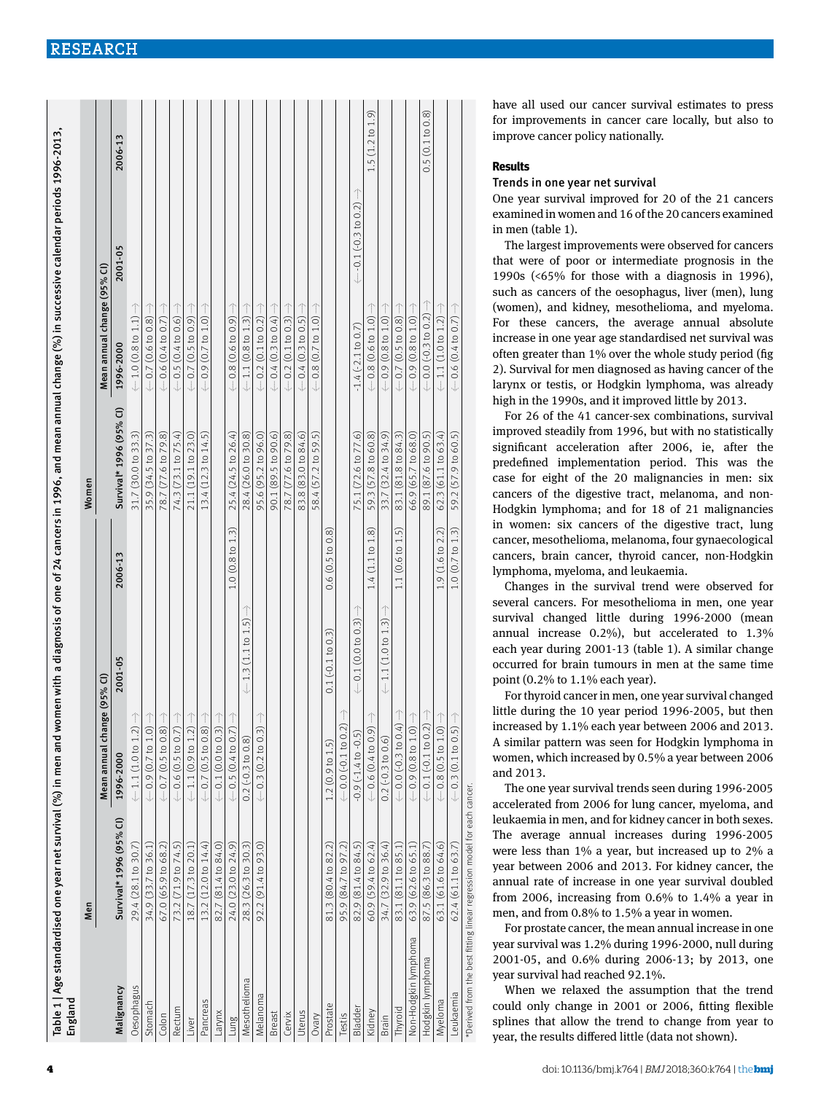| England           | Table 1   Age standardised one year net survival (%) in men and women with a diagnosis of one of 24 cancers in 1996, and mean annual change (%) in successive calendar periods 1996-2013, |                                             |                                             |                 |                         |                                                   |                                               |         |
|-------------------|-------------------------------------------------------------------------------------------------------------------------------------------------------------------------------------------|---------------------------------------------|---------------------------------------------|-----------------|-------------------------|---------------------------------------------------|-----------------------------------------------|---------|
|                   | Men                                                                                                                                                                                       |                                             |                                             |                 | Women                   |                                                   |                                               |         |
|                   |                                                                                                                                                                                           | Mean annual chan                            | ge (95% Cl)                                 |                 |                         | Mean annual change (95% CI)                       |                                               |         |
| Malignancy        | Survival* 1996 (95% CI)                                                                                                                                                                   | 1996-2000                                   | 2001-05                                     | 2006-13         | Survival* 1996 (95% CI) | 1996-2000                                         | 2001-05                                       | 2006-13 |
| <b>Desophagus</b> | 29.4 (28.1 to 30.7)                                                                                                                                                                       | $\leftarrow$ 1.1 (1.0 to 1.2) $\rightarrow$ |                                             |                 | 31.7 (30.0 to 33.3)     | $\leftarrow 1.0$ (0.8 to 1.1) $\rightarrow$       |                                               |         |
| Stomach           | 34.9 (33.7 to 36.1)                                                                                                                                                                       | $(-0.9(0.7 to 1.0) \rightarrow$             |                                             |                 | 35.9 (34.5 to 37.3)     | $\leftarrow$ 0.7 (0.6 to 0.8) $\rightarrow$       |                                               |         |
| nolo              | 67.0 (65.9 to 68.2)                                                                                                                                                                       | $\leftarrow$ 0.7 (0.5 to 0.8) $\rightarrow$ |                                             |                 | 78.7 (77.6 to 79.8)     | $\leftarrow 0.6$ (0.4 to 0.7) $\rightarrow$       |                                               |         |
| ectum             | 73.2 (71.9 to 74.5)                                                                                                                                                                       | $\leftarrow$ 0.6 (0.5 to 0.7) $\rightarrow$ |                                             |                 | 74.3 (73.1 to 75.4)     | $\leftarrow 0.5(0.4 \text{ to } 0.6) \rightarrow$ |                                               |         |
| iver              | 18.7 (17.3 to 20.1)                                                                                                                                                                       | $\leftarrow$ 1.1 (0.9 to 1.2) $\rightarrow$ |                                             |                 | 21.1 (19.1 to 23.0)     | $\leftarrow 0.7$ (0.5 to 0.9) $\rightarrow$       |                                               |         |
| Pancreas          | 13.2 (12.0 to 14.4)                                                                                                                                                                       | $(-0.7(0.5 to 0.8) \rightarrow$             |                                             |                 | 13.4 (12.3 to 14.5)     | $\leftarrow$ 0.9 (0.7 to 1.0) $\rightarrow$       |                                               |         |
| .arvnx            | 82.7 (81.4 to 84.0)                                                                                                                                                                       | $(-0.1(0.0 to 0.3))$                        |                                             |                 |                         |                                                   |                                               |         |
| sun-              | 24.0 (23.0 to 24.9)                                                                                                                                                                       | $(-0.5(0.4 to 0.7))$                        |                                             | 1.0(0.8 to 1.3) | 25.4 (24.5 to 26.4)     | $-0.8(0.6\text{ to }0.9) \rightarrow$             |                                               |         |
| Aesothelioma      | 28.3 (26.3 to 30.3)                                                                                                                                                                       | $0.2 (-0.3 to 0.8)$                         | $\leftarrow$ 1.3 (1.1 to 1.5) $\rightarrow$ |                 | 28.4 (26.0 to 30.8)     | $\leftarrow$ 1.1 (0.8 to 1.3) $\rightarrow$       |                                               |         |
| Melanoma          | 92.2 (91.4 to 93.0)                                                                                                                                                                       | $(-0.3(0.2 \text{ to } 0.3)$                |                                             |                 | 95.6 (95.2 to 96.0)     | $\leftarrow$ 0.2 (0.1 to 0.2) $\rightarrow$       |                                               |         |
| Breast            |                                                                                                                                                                                           |                                             |                                             |                 | 90.1 (89.5 to 90.6)     | $\leftarrow$ 0.4 (0.3 to 0.4) $\rightarrow$       |                                               |         |
| Cervix            |                                                                                                                                                                                           |                                             |                                             |                 | 78.7 (77.6 to 79.8)     | $\leftarrow 0.2$ (0.1 to 0.3) $\rightarrow$       |                                               |         |
| Jterus            |                                                                                                                                                                                           |                                             |                                             |                 | 83.8 (83.0 to 84.6)     | $\leftarrow$ 0.4 (0.3 to 0.5) $\rightarrow$       |                                               |         |
| <b>Ovary</b>      |                                                                                                                                                                                           |                                             |                                             |                 | 58.4 (57.2 to 59.5)     | $\leftarrow 0.8$ (0.7 to 1.0) $\rightarrow$       |                                               |         |
| Prostate          | 81.3 (80.4 to 82.2)                                                                                                                                                                       | 1.2(0.9 to 1.5)                             | $0.1 (-0.1 to 0.3)$                         | 0.6(0.5 to 0.8) |                         |                                                   |                                               |         |
| Testis            | 95.9 (84.7 to 97.2)                                                                                                                                                                       | Ť<br>$(-0.0 (-0.1 to 0.2))$                 |                                             |                 |                         |                                                   |                                               |         |
| Bladder           | 82.9 (81.4 to 84.5)                                                                                                                                                                       | $0.9(-1.4 to -0.5)$                         | $\leftarrow 0.1$ (0.0 to 0.3) $\rightarrow$ |                 | 75.1 (72.6 to 77.6)     | $-1.4 (-2.1 to 0.7)$                              | $\leftarrow$ -0.1 (-0.3 to 0.2) $\rightarrow$ |         |

Kidney ← 0.6 (0.4 to 62.4) ← 0.6 (0.4 to 60.8) 59.3 (57.8 to 1.8) 59.3 (57.8 to 2.8) (59.8 to 1.0) → 1.5 (1.2 to 1.9) → 1.5 (1.2 to 1.9) → 1.5 (1.2 to 1.9) → 1.5 (1.2 to 1.9) → 1.5 (1.2 to 1.2) 1.5 (1.2 to 1.2)

1.4 (1.1 to 1.8)

1.1 (0.6 to 1.5)

 $(-0.9(0.8 to 1.0)$  $(-0.9(0.8 to 1.0)$ 

33.7 (32.4 to 34.9) 83.1 (81.8 to 84.3) 66.9 (65.7 to 68.0) 89.1 (87.6 to 90.5) 62.3 (61.1 to 63.4) 59.2 (57.9 to 60.5)

59.3 (57.8 to 60.8)

 $(-0.7(0.5 \text{ to } 0.8))$ 

 $(-0.8(0.6 t_{0.10})$ 

1.5 (1.2 to 1.9)

 $0.5(0.1 to 0.8)$ 

 $\leftarrow$  1.1 (1.0 to 1.2)  $\rightarrow$  $0.0 (-0.3 \text{ to } 0.2)$ 

J

 $0.6(0.4 to 0.7)$ 

J

Hodgkin lymphoma 87.5 (86.3 to 88.7) ← 0.1 to 0.3) ← 0.1 to 0.2) → 0.1 to 0.2) → → 0.1 to 0.2) → → 0.1 to 0.5 (0.1 to 0.8)

 $1.9(1.6 \text{ to } 2.2)$  $1.0 (0.7 to 1.3)$ 

Myeloma 63.1 (61.6 to 64.6) ← 0.8 (0.5 to 1.0) → 1.9 (1.6 to 2.2) 62.3 (61.1 to 63.4) ← 1.1 (1.0 to 1.2) → Leukaemia 62.4 (61.1 to 63.7) ← 0.3 (0.1 to 0.5) → 1.0 0.5 (0.7 to 1.3) 59.2 (57.9 to 60.5) ← 0.6 (0.4 to 0.7) →

 $\leftarrow$  0.8 (0.5 to 1.0)  $\rightarrow$ 

 $(-0.3(0.1100.5))$ 

\*Derived from the best fitting linear regression model for each cancer.

Derived from the best fitting linear regression model for each cancer.

62.4 (61.1 to 63.7)

\_eukaemia

Mveloma

Brain 34.7 (32.9 to 36.4) 0.2 (-0.3 to 0.6) ← 1.1 (1.0 to 1.3) → 33.7 (32.4 to 34.9) ← 0.9 (0.8 to 1.0) → Thyroid Fryncid 83.1 (81.2 to 85.1, 0.8 to 0.0, 0.0 to 0.0, 0.0 to 0.0, 0.0 to 0.0, 0.6 to 0.7 to 0.8) ← → ← 0.81 (81.8 to 84.3) ← → ← 0.8) ← → ← 0.8) ← → ← 0.81 (81.8 to 84.3) ← → ← 0.81 (81.8 to 84.3) ← → ← 0.81 (1.5 to Non-Hodgkin lymphoma 63.9 (62.6 to 65.1) → (−0.9 (0.8 to 1.0) → 66.9 (65.7 to 68.0) → 66.9 (65.7 to 68.0) → 66.0,0 to 1.0) → 69.9 (65.6 to 1.0) → 69.9 (65.7 to 68.0)

 $\leftarrow$  0.9 (0.8 to 1.0)  $\rightarrow$ 

 $\leftarrow 0.1 (-0.1 \text{ to } 0.2)$ 

87.5 (86.3 to 88.7) 63.1 (61.6 to 64.6)

Non-Hodgkin lymphoma

Hodgkin lymphoma

 $(-0.0 (-0.3 to 0.4))$ 

 $0.2 (-0.3 to 0.6)$ 

 $(-0.6(0.4 to 0.9))$ 

60.9 (59.4 to 62.4) 34.7 (32.9 to 36.4) 83.1 (81.1 to 85.1) 63.9 (62.6 to 65.1)

**Gridney** 

 $(-1.1(1.0 to 1.3))$ 

have all used our cancer survival estimates to press for improvements in cancer care locally, but also to improve cancer policy nationally.

# **Results**

#### Trends in one year net survival

One year survival improved for 20 of the 21 cancers examined in women and 16 of the 20 cancers examined in men (table 1).

The largest improvements were observed for cancers that were of poor or intermediate prognosis in the 1990s (<65% for those with a diagnosis in 1996), such as cancers of the oesophagus, liver (men), lung (women), and kidney, mesothelioma, and myeloma. For these cancers, the average annual absolute increase in one year age standardised net survival was often greater than 1% over the whole study period (fig 2). Survival for men diagnosed as having cancer of the larynx or testis, or Hodgkin lymphoma, was already high in the 1990s, and it improved little by 2013.

For 26 of the 41 cancer-sex combinations, survival improved steadily from 1996, but with no statistically significant acceleration after 2006, ie, after the predefined implementation period. This was the case for eight of the 20 malignancies in men: six cancers of the digestive tract, melanoma, and non-Hodgkin lymphoma; and for 18 of 21 malignancies in women: six cancers of the digestive tract, lung cancer, mesothelioma, melanoma, four gynaecological cancers, brain cancer, thyroid cancer, non-Hodgkin lymphoma, myeloma, and leukaemia.

Changes in the survival trend were observed for several cancers. For mesothelioma in men, one year survival changed little during 1996-2000 (mean annual increase 0.2%), but accelerated to 1.3% each year during 2001-13 (table 1). A similar change occurred for brain tumours in men at the same time point (0.2% to 1.1% each year).

For thyroid cancer in men, one year survival changed little during the 10 year period 1996-2005, but then increased by 1.1% each year between 2006 and 2013. A similar pattern was seen for Hodgkin lymphoma in women, which increased by 0.5% a year between 2006 and 2013.

The one year survival trends seen during 1996-2005 accelerated from 2006 for lung cancer, myeloma, and leukaemia in men, and for kidney cancer in both sexes. The average annual increases during 1996-2005 were less than 1% a year, but increased up to 2% a year between 2006 and 2013. For kidney cancer, the annual rate of increase in one year survival doubled from 2006, increasing from 0.6% to 1.4% a year in men, and from 0.8% to 1.5% a year in women.

For prostate cancer, the mean annual increase in one year survival was 1.2% during 1996-2000, null during 2001-05, and 0.6% during 2006-13; by 2013, one year survival had reached 92.1%.

When we relaxed the assumption that the trend could only change in 2001 or 2006, fitting flexible splines that allow the trend to change from year to year, the results differed little (data not shown).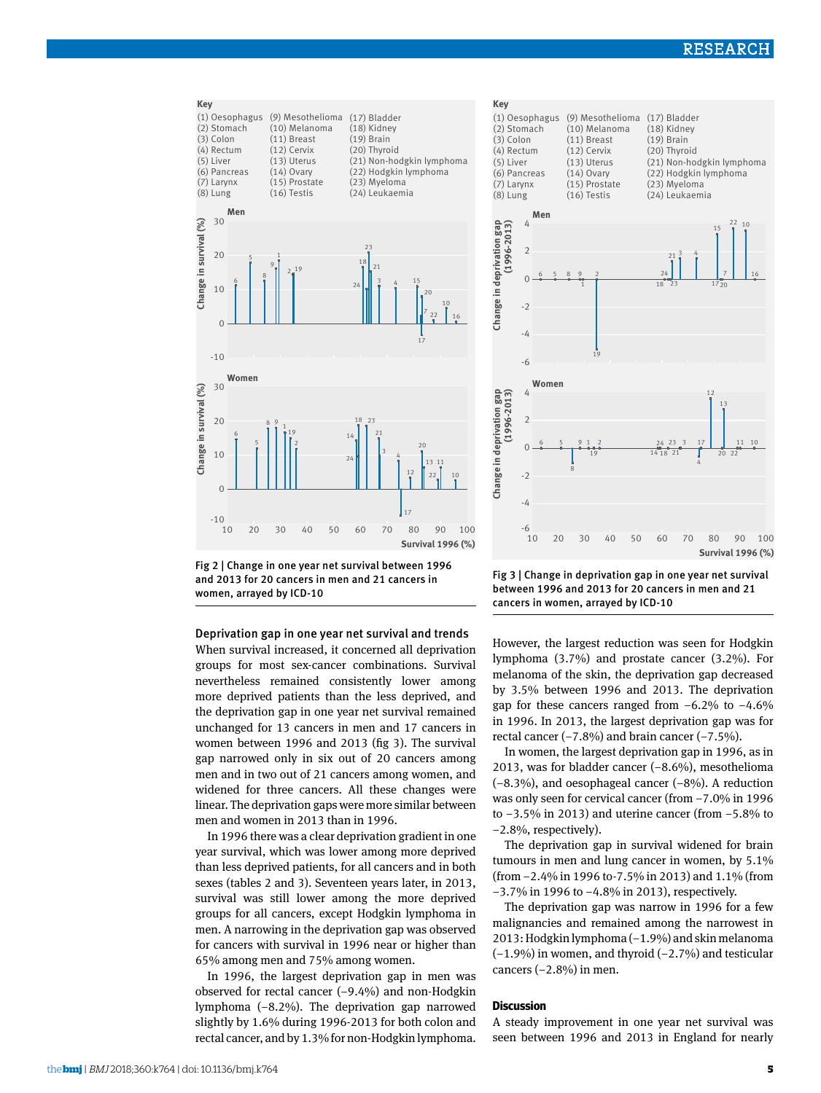

Fig 2 | Change in one year net survival between 1996 and 2013 for 20 cancers in men and 21 cancers in women, arrayed by ICD-10

Deprivation gap in one year net survival and trends When survival increased, it concerned all deprivation groups for most sex-cancer combinations. Survival nevertheless remained consistently lower among more deprived patients than the less deprived, and the deprivation gap in one year net survival remained unchanged for 13 cancers in men and 17 cancers in women between 1996 and 2013 (fig 3). The survival gap narrowed only in six out of 20 cancers among men and in two out of 21 cancers among women, and widened for three cancers. All these changes were linear. The deprivation gaps were more similar between men and women in 2013 than in 1996.

In 1996 there was a clear deprivation gradient in one year survival, which was lower among more deprived than less deprived patients, for all cancers and in both sexes (tables 2 and 3). Seventeen years later, in 2013, survival was still lower among the more deprived groups for all cancers, except Hodgkin lymphoma in men. A narrowing in the deprivation gap was observed for cancers with survival in 1996 near or higher than 65% among men and 75% among women.

In 1996, the largest deprivation gap in men was observed for rectal cancer (−9.4%) and non-Hodgkin lymphoma (−8.2%). The deprivation gap narrowed slightly by 1.6% during 1996-2013 for both colon and rectal cancer, and by 1.3% for non-Hodgkin lymphoma.



Fig 3 | Change in deprivation gap in one year net survival between 1996 and 2013 for 20 cancers in men and 21 cancers in women, arrayed by ICD-10

However, the largest reduction was seen for Hodgkin lymphoma (3.7%) and prostate cancer (3.2%). For melanoma of the skin, the deprivation gap decreased by 3.5% between 1996 and 2013. The deprivation gap for these cancers ranged from −6.2% to −4.6% in 1996. In 2013, the largest deprivation gap was for rectal cancer (−7.8%) and brain cancer (−7.5%).

In women, the largest deprivation gap in 1996, as in 2013, was for bladder cancer (−8.6%), mesothelioma (−8.3%), and oesophageal cancer (−8%). A reduction was only seen for cervical cancer (from −7.0% in 1996 to −3.5% in 2013) and uterine cancer (from −5.8% to −2.8%, respectively).

The deprivation gap in survival widened for brain tumours in men and lung cancer in women, by 5.1% (from −2.4% in 1996 to-7.5% in 2013) and 1.1% (from −3.7% in 1996 to −4.8% in 2013), respectively.

The deprivation gap was narrow in 1996 for a few malignancies and remained among the narrowest in 2013: Hodgkin lymphoma (−1.9%) and skin melanoma (−1.9%) in women, and thyroid (−2.7%) and testicular cancers (−2.8%) in men.

# **Discussion**

A steady improvement in one year net survival was seen between 1996 and 2013 in England for nearly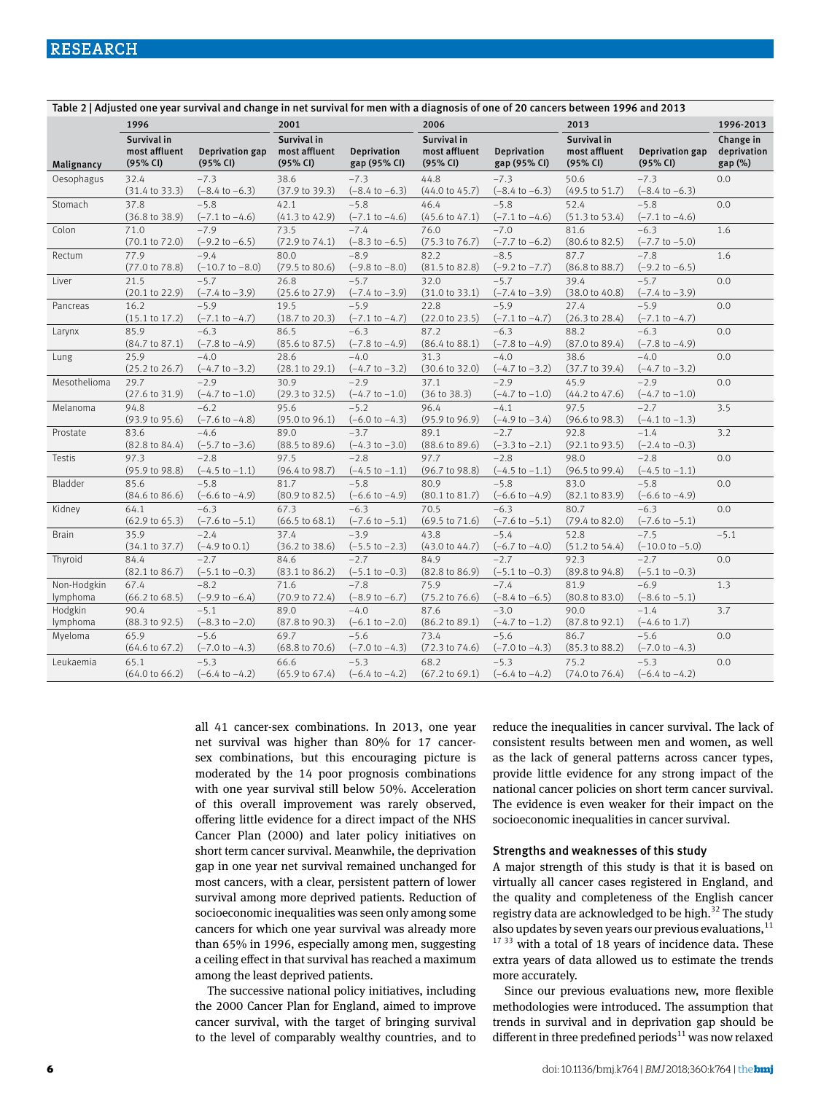|              | 1996                                     | table 2   Adjusted one year survival and change in het survival for men with a diagnosis of one of 20 cancers between 1996 and 2013 | 2001                                     |                             | 2006                                     |                             | 2013                                     |                                    | 1996-2013                           |
|--------------|------------------------------------------|-------------------------------------------------------------------------------------------------------------------------------------|------------------------------------------|-----------------------------|------------------------------------------|-----------------------------|------------------------------------------|------------------------------------|-------------------------------------|
| Malignancy   | Survival in<br>most affluent<br>(95% CI) | <b>Deprivation gap</b><br>(95% CI)                                                                                                  | Survival in<br>most affluent<br>(95% CI) | Deprivation<br>gap (95% CI) | Survival in<br>most affluent<br>(95% CI) | Deprivation<br>gap (95% CI) | Survival in<br>most affluent<br>(95% CI) | <b>Deprivation gap</b><br>(95% CI) | Change in<br>deprivation<br>gap (%) |
| Oesophagus   | 32.4                                     | $-7.3$                                                                                                                              | 38.6                                     | $-7.3$                      | 44.8                                     | $-7.3$                      | 50.6                                     | $-7.3$                             | 0.0                                 |
|              | (31.4 to 33.3)                           | $(-8.4 \text{ to } -6.3)$                                                                                                           | (37.9 to 39.3)                           | $(-8.4 \text{ to } -6.3)$   | (44.0 to 45.7)                           | $(-8.4 \text{ to } -6.3)$   | $(49.5 \text{ to } 51.7)$                | $(-8.4 \text{ to } -6.3)$          |                                     |
| Stomach      | 37.8                                     | $-5.8$                                                                                                                              | 42.1                                     | $-5.8$                      | 46.4                                     | $-5.8$                      | 52.4                                     | $-5.8$                             | 0.0                                 |
|              | (36.8 to 38.9)                           | $(-7.1 \text{ to } -4.6)$                                                                                                           | $(41.3 \text{ to } 42.9)$                | $(-7.1 \text{ to } -4.6)$   | $(45.6 \text{ to } 47.1)$                | $(-7.1$ to $-4.6)$          | (51.3 to 53.4)                           | $(-7.1 \text{ to } -4.6)$          |                                     |
| Colon        | 71.0                                     | $-7.9$                                                                                                                              | 73.5                                     | $-7.4$                      | 76.0                                     | $-7.0$                      | 81.6                                     | $-6.3$                             | 1.6                                 |
|              | (70.1 to 72.0)                           | $(-9.2 \text{ to } -6.5)$                                                                                                           | $(72.9 \text{ to } 74.1)$                | $(-8.3 \text{ to } -6.5)$   | $(75.3 \text{ to } 76.7)$                | $(-7.7 \text{ to } -6.2)$   | $(80.6 \text{ to } 82.5)$                | $(-7.7 \text{ to } -5.0)$          |                                     |
| Rectum       | 77.9                                     | $-9.4$                                                                                                                              | 80.0                                     | $-8.9$                      | 82.2                                     | $-8.5$                      | 87.7                                     | $-7.8$                             | 1.6                                 |
|              | (77.0 to 78.8)                           | $(-10.7 \text{ to } -8.0)$                                                                                                          | $(79.5 \text{ to } 80.6)$                | $(-9.8 \text{ to } -8.0)$   | $(81.5 \text{ to } 82.8)$                | $(-9.2 \text{ to } -7.7)$   | $(86.8 \text{ to } 88.7)$                | $(-9.2 \text{ to } -6.5)$          |                                     |
| Liver        | 21.5                                     | $-5.7$                                                                                                                              | 26.8                                     | $-5.7$                      | 32.0                                     | $-5.7$                      | 39.4                                     | $-5.7$                             | 0.0                                 |
|              | (20.1 to 22.9)                           | $(-7.4 \text{ to } -3.9)$                                                                                                           | $(25.6 \text{ to } 27.9)$                | $(-7.4 \text{ to } -3.9)$   | (31.0 to 33.1)                           | $(-7.4 \text{ to } -3.9)$   | $(38.0 \text{ to } 40.8)$                | $(-7.4 \text{ to } -3.9)$          |                                     |
| Pancreas     | 16.2                                     | $-5.9$                                                                                                                              | 19.5                                     | $-5.9$                      | 22.8                                     | $-5.9$                      | 27.4                                     | $-5.9$                             | 0.0                                 |
|              | (15.1 to 17.2)                           | $(-7.1 \text{ to } -4.7)$                                                                                                           | $(18.7 \text{ to } 20.3)$                | $(-7.1 \text{ to } -4.7)$   | (22.0 to 23.5)                           | $(-7.1 \text{ to } -4.7)$   | (26.3 to 28.4)                           | $(-7.1 \text{ to } -4.7)$          |                                     |
| Larynx       | 85.9                                     | $-6.3$                                                                                                                              | 86.5                                     | $-6.3$                      | 87.2                                     | $-6.3$                      | 88.2                                     | $-6.3$                             | 0.0                                 |
|              | $(84.7 \text{ to } 87.1)$                | $(-7.8 \text{ to } -4.9)$                                                                                                           | $(85.6 \text{ to } 87.5)$                | $(-7.8 \text{ to } -4.9)$   | $(86.4 \text{ to } 88.1)$                | $(-7.8 \text{ to } -4.9)$   | $(87.0 \text{ to } 89.4)$                | $(-7.8 \text{ to } -4.9)$          |                                     |
| Lung         | 25.9                                     | $-4.0$                                                                                                                              | 28.6                                     | $-4.0$                      | 31.3                                     | $-4.0$                      | 38.6                                     | $-4.0$                             | 0.0                                 |
|              | (25.2 to 26.7)                           | $(-4.7 \text{ to } -3.2)$                                                                                                           | $(28.1 \text{ to } 29.1)$                | $(-4.7 \text{ to } -3.2)$   | $(30.6 \text{ to } 32.0)$                | $(-4.7 \text{ to } -3.2)$   | (37.7 t0 39.4)                           | $(-4.7 \text{ to } -3.2)$          |                                     |
| Mesothelioma | 29.7                                     | $-2.9$                                                                                                                              | 30.9                                     | $-2.9$                      | 37.1                                     | $-2.9$                      | 45.9                                     | $-2.9$                             | 0.0                                 |
|              | $(27.6 \text{ to } 31.9)$                | $(-4.7 \text{ to } -1.0)$                                                                                                           | (29.3 to 32.5)                           | $(-4.7 \text{ to } -1.0)$   | (36 to 38.3)                             | $(-4.7 \text{ to } -1.0)$   | $(44.2 \text{ to } 47.6)$                | $(-4.7 \text{ to } -1.0)$          |                                     |
| Melanoma     | 94.8                                     | $-6.2$                                                                                                                              | 95.6                                     | $-5.2$                      | 96.4                                     | $-4.1$                      | 97.5                                     | $-2.7$                             | 3.5                                 |
|              | (93.9 to 95.6)                           | $(-7.6 \text{ to } -4.8)$                                                                                                           | $(95.0 \text{ to } 96.1)$                | $(-6.0 \text{ to } -4.3)$   | (95.9 to 96.9)                           | $(-4.9 \text{ to } -3.4)$   | $(96.6 \text{ to } 98.3)$                | $(-4.1 \text{ to } -1.3)$          |                                     |
| Prostate     | 83.6                                     | $-4.6$                                                                                                                              | 89.0                                     | $-3.7$                      | 89.1                                     | $-2.7$                      | 92.8                                     | $-1.4$                             | 3.2                                 |
|              | $(82.8 \text{ to } 84.4)$                | $(-5.7 \text{ to } -3.6)$                                                                                                           | $(88.5 \text{ to } 89.6)$                | $(-4.3 \text{ to } -3.0)$   | $(88.6 \text{ to } 89.6)$                | $(-3.3 \text{ to } -2.1)$   | $(92.1 \text{ to } 93.5)$                | $(-2.4 \text{ to } -0.3)$          |                                     |
| Testis       | 97.3                                     | $-2.8$                                                                                                                              | 97.5                                     | $-2.8$                      | 97.7                                     | $-2.8$                      | 98.0                                     | $-2.8$                             | 0.0                                 |
|              | (95.9 to 98.8)                           | $(-4.5 \text{ to } -1.1)$                                                                                                           | $(96.4 \text{ to } 98.7)$                | $(-4.5 \text{ to } -1.1)$   | $(96.7 \text{ to } 98.8)$                | $(-4.5 \text{ to } -1.1)$   | $(96.5 \text{ to } 99.4)$                | $(-4.5 \text{ to } -1.1)$          |                                     |
| Bladder      | 85.6                                     | $-5.8$                                                                                                                              | 81.7                                     | $-5.8$                      | 80.9                                     | $-5.8$                      | 83.0                                     | $-5.8$                             | 0.0                                 |
|              | $(84.6 \text{ to } 86.6)$                | $(-6.6 \text{ to } -4.9)$                                                                                                           | (80.9 to 82.5)                           | $(-6.6 \text{ to } -4.9)$   | (80.1 to 81.7)                           | $(-6.6 \text{ to } -4.9)$   | $(82.1 \text{ to } 83.9)$                | $(-6.6 \text{ to } -4.9)$          |                                     |
| Kidney       | 64.1                                     | $-6.3$                                                                                                                              | 67.3                                     | $-6.3$                      | 70.5                                     | $-6.3$                      | 80.7                                     | $-6.3$                             | 0.0                                 |
|              | (62.9 to 65.3)                           | $(-7.6 \text{ to } -5.1)$                                                                                                           | $(66.5 \text{ to } 68.1)$                | $(-7.6 \text{ to } -5.1)$   | $(69.5 \text{ to } 71.6)$                | $(-7.6 \text{ to } -5.1)$   | $(79.4 \text{ to } 82.0)$                | $(-7.6 \text{ to } -5.1)$          |                                     |
| <b>Brain</b> | 35.9                                     | $-2.4$                                                                                                                              | 37.4                                     | $-3.9$                      | 43.8                                     | $-5.4$                      | 52.8                                     | $-7.5$                             | $-5.1$                              |
|              | $(34.1 \text{ to } 37.7)$                | $(-4.9 \text{ to } 0.1)$                                                                                                            | $(36.2 \text{ to } 38.6)$                | $(-5.5 \text{ to } -2.3)$   | (43.0 to 44.7)                           | $(-6.7 \text{ to } -4.0)$   | $(51.2 \text{ to } 54.4)$                | $(-10.0 \text{ to } -5.0)$         |                                     |
| Thyroid      | 84.4                                     | $-2.7$                                                                                                                              | 84.6                                     | $-2.7$                      | 84.9                                     | $-2.7$                      | 92.3                                     | $-2.7$                             | 0.0                                 |
|              | $(82.1 \text{ to } 86.7)$                | $(-5.1 \text{ to } -0.3)$                                                                                                           | $(83.1 \text{ to } 86.2)$                | $(-5.1$ to $-0.3)$          | (82.8 to 86.9)                           | $(-5.1$ to $-0.3)$          | $(89.8 \text{ to } 94.8)$                | $(-5.1$ to $-0.3)$                 |                                     |
| Non-Hodgkin  | 67.4                                     | $-8.2$                                                                                                                              | 71.6                                     | $-7.8$                      | 75.9                                     | $-7.4$                      | 81.9                                     | $-6.9$                             | 1.3                                 |
| lymphoma     | $(66.2 \text{ to } 68.5)$                | $(-9.9 \text{ to } -6.4)$                                                                                                           | (70.9 to 72.4)                           | $(-8.9 \text{ to } -6.7)$   | $(75.2 \text{ to } 76.6)$                | $(-8.4 \text{ to } -6.5)$   | $(80.8 \text{ to } 83.0)$                | $(-8.6 \text{ to } -5.1)$          |                                     |
| Hodgkin      | 90.4                                     | $-5.1$                                                                                                                              | 89.0                                     | $-4.0$                      | 87.6                                     | $-3.0$                      | 90.0                                     | $-1.4$                             | 3.7                                 |
| lymphoma     | (88.3 to 92.5)                           | $(-8.3 \text{ to } -2.0)$                                                                                                           | $(87.8 \text{ to } 90.3)$                | $(-6.1 \text{ to } -2.0)$   | $(86.2 \text{ to } 89.1)$                | $(-4.7 \text{ to } -1.2)$   | $(87.8 \text{ to } 92.1)$                | $(-4.6 \text{ to } 1.7)$           |                                     |
| Myeloma      | 65.9                                     | $-5.6$                                                                                                                              | 69.7                                     | $-5.6$                      | 73.4                                     | $-5.6$                      | 86.7                                     | $-5.6$                             | 0.0                                 |
|              | $(64.6 \text{ to } 67.2)$                | $(-7.0 \text{ to } -4.3)$                                                                                                           | $(68.8 \text{ to } 70.6)$                | $(-7.0 \text{ to } -4.3)$   | $(72.3 \text{ to } 74.6)$                | $(-7.0 \text{ to } -4.3)$   | (85.3 to 88.2)                           | $(-7.0 \text{ to } -4.3)$          |                                     |
| Leukaemia    | 65.1                                     | $-5.3$                                                                                                                              | 66.6                                     | $-5.3$                      | 68.2                                     | $-5.3$                      | 75.2                                     | $-5.3$                             | 0.0                                 |
|              | (64.0 to 66.2)                           | $(-6.4 \text{ to } -4.2)$                                                                                                           | (65.9 to 67.4)                           | $(-6.4 \text{ to } -4.2)$   | $(67.2 \text{ to } 69.1)$                | $(-6.4 \text{ to } -4.2)$   | $(74.0 \text{ to } 76.4)$                | $(-6.4 \text{ to } -4.2)$          |                                     |

Table 2 | Adjusted one year survival and change in net survival for men with a diagnosis of one of 20 cancers between 1996 and 2013

all 41 cancer-sex combinations. In 2013, one year net survival was higher than 80% for 17 cancersex combinations, but this encouraging picture is moderated by the 14 poor prognosis combinations with one year survival still below 50%. Acceleration of this overall improvement was rarely observed, offering little evidence for a direct impact of the NHS Cancer Plan (2000) and later policy initiatives on short term cancer survival. Meanwhile, the deprivation gap in one year net survival remained unchanged for most cancers, with a clear, persistent pattern of lower survival among more deprived patients. Reduction of socioeconomic inequalities was seen only among some cancers for which one year survival was already more than 65% in 1996, especially among men, suggesting a ceiling effect in that survival has reached a maximum among the least deprived patients.

The successive national policy initiatives, including the 2000 Cancer Plan for England, aimed to improve cancer survival, with the target of bringing survival to the level of comparably wealthy countries, and to

reduce the inequalities in cancer survival. The lack of consistent results between men and women, as well as the lack of general patterns across cancer types, provide little evidence for any strong impact of the national cancer policies on short term cancer survival. The evidence is even weaker for their impact on the socioeconomic inequalities in cancer survival.

#### Strengths and weaknesses of this study

A major strength of this study is that it is based on virtually all cancer cases registered in England, and the quality and completeness of the English cancer registry data are acknowledged to be high.<sup>32</sup> The study also updates by seven years our previous evaluations, $^{11}$  $1733$  with a total of 18 years of incidence data. These extra years of data allowed us to estimate the trends more accurately.

Since our previous evaluations new, more flexible methodologies were introduced. The assumption that trends in survival and in deprivation gap should be different in three predefined periods $^{11}$  was now relaxed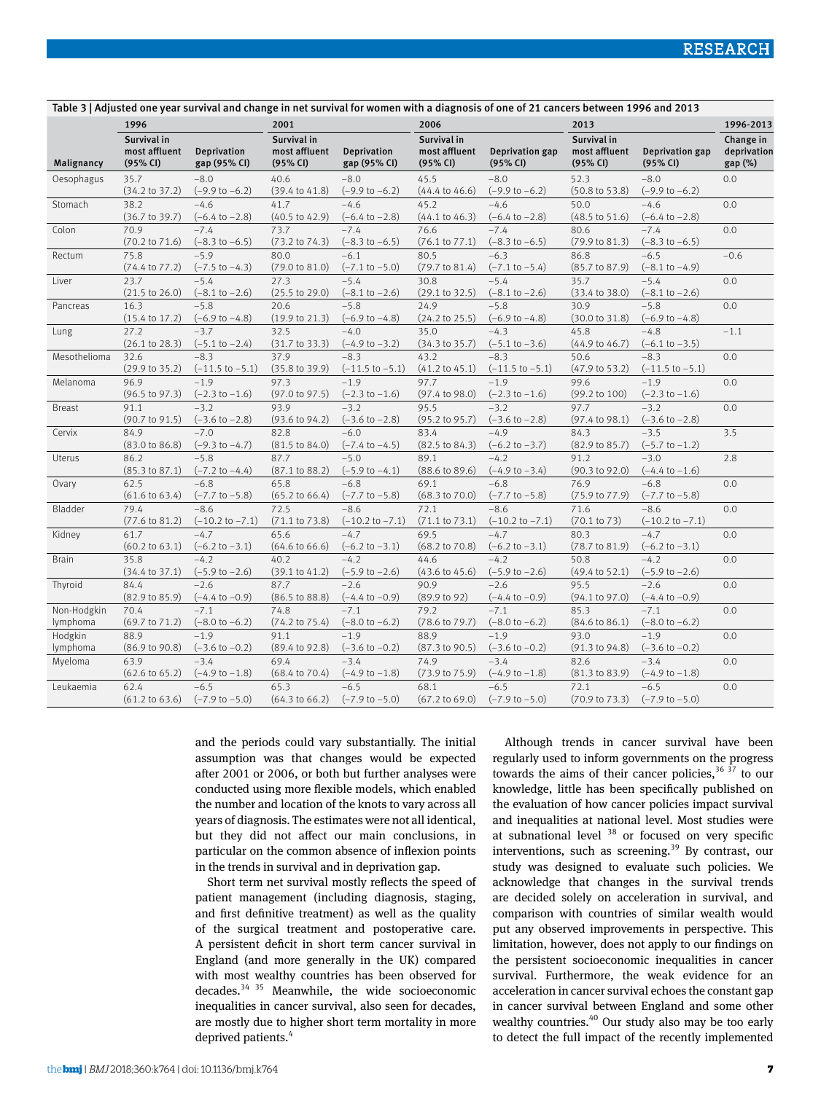| Table 3   Adjusted one year survival and change in net survival for women with a diagnosis of one of 21 cancers between 1996 and 2013 |                                                                |                                                                  |                                                                |                                                                  |                                                                |                                                                  |                                                     |                                                                  |                                     |  |
|---------------------------------------------------------------------------------------------------------------------------------------|----------------------------------------------------------------|------------------------------------------------------------------|----------------------------------------------------------------|------------------------------------------------------------------|----------------------------------------------------------------|------------------------------------------------------------------|-----------------------------------------------------|------------------------------------------------------------------|-------------------------------------|--|
|                                                                                                                                       | 1996                                                           |                                                                  | 2001                                                           |                                                                  | 2006                                                           |                                                                  | 2013                                                |                                                                  | 1996-2013                           |  |
| Malignancy                                                                                                                            | Survival in<br>most affluent<br>(95% CI)                       | Deprivation<br>gap (95% CI)                                      | Survival in<br>most affluent<br>(95% CI)                       | <b>Deprivation</b><br>gap (95% CI)                               | Survival in<br>most affluent<br>(95% CI)                       | Deprivation gap<br>(95% CI)                                      | Survival in<br>most affluent<br>(95% CI)            | Deprivation gap<br>(95% CI)                                      | Change in<br>deprivation<br>gap (%) |  |
| Oesophagus                                                                                                                            | 35.7<br>$(34.2 \text{ to } 37.2)$                              | $-8.0$<br>$(-9.9 \text{ to } -6.2)$                              | 40.6<br>$(39.4 \text{ to } 41.8)$                              | $-8.0$<br>$(-9.9 \text{ to } -6.2)$                              | 45.5<br>$(44.4 \text{ to } 46.6)$                              | $-8.0$<br>$(-9.9 \text{ to } -6.2)$                              | 52.3<br>$(50.8 \text{ to } 53.8)$                   | $-8.0$<br>$(-9.9 \text{ to } -6.2)$                              | 0.0                                 |  |
| Stomach                                                                                                                               | 38.2<br>$(36.7 \text{ to } 39.7)$                              | $-4.6$<br>$(-6.4 \text{ to } -2.8)$                              | 41.7<br>$(40.5 \text{ to } 42.9)$                              | $-4.6$<br>$(-6.4 \text{ to } -2.8)$                              | 45.2<br>$(44.1 \text{ to } 46.3)$                              | $-4.6$<br>$(-6.4 \text{ to } -2.8)$                              | 50.0<br>$(48.5 \text{ to } 51.6)$                   | $-4.6$<br>$(-6.4 \text{ to } -2.8)$                              | 0.0                                 |  |
| Colon                                                                                                                                 | 70.9<br>$(70.2 \text{ to } 71.6)$                              | $-7.4$<br>$(-8.3 \text{ to } -6.5)$                              | 73.7<br>$(73.2 \text{ to } 74.3)$                              | $-7.4$<br>$(-8.3 \text{ to } -6.5)$                              | 76.6<br>(76.1 to 77.1)                                         | $-7.4$<br>$(-8.3 \text{ to } -6.5)$                              | 80.6<br>$(79.9 \text{ to } 81.3)$                   | $-7.4$<br>$(-8.3 \text{ to } -6.5)$                              | 0.0                                 |  |
| Rectum                                                                                                                                | 75.8<br>$(74.4 \text{ to } 77.2)$                              | $-5.9$<br>$(-7.5 \text{ to } -4.3)$                              | 80.0<br>$(79.0 \text{ to } 81.0)$                              | $-6.1$<br>$(-7.1 \text{ to } -5.0)$                              | 80.5<br>$(79.7 \text{ to } 81.4)$                              | $-6.3$<br>$(-7.1 \text{ to } -5.4)$                              | 86.8<br>$(85.7 \text{ to } 87.9)$                   | $-6.5$<br>$(-8.1 \text{ to } -4.9)$                              | $-0.6$                              |  |
| Liver                                                                                                                                 | 23.7<br>$(21.5 \text{ to } 26.0)$                              | $-5.4$<br>$(-8.1 \text{ to } -2.6)$                              | 27.3<br>$(25.5 \text{ to } 29.0)$                              | $-5.4$<br>$(-8.1 \text{ to } -2.6)$                              | 30.8<br>$(29.1 \text{ to } 32.5)$                              | $-5.4$<br>$(-8.1 \text{ to } -2.6)$                              | 35.7<br>$(33.4 \text{ to } 38.0)$                   | $-5.4$<br>$(-8.1 \text{ to } -2.6)$                              | 0.0                                 |  |
| Pancreas                                                                                                                              | 16.3<br>$(15.4 \text{ to } 17.2)$                              | $-5.8$<br>$(-6.9 \text{ to } -4.8)$                              | 20.6<br>$(19.9 \text{ to } 21.3)$                              | $-5.8$<br>$(-6.9 \text{ to } -4.8)$                              | 24.9<br>$(24.2 \text{ to } 25.5)$                              | $-5.8$<br>$(-6.9 \text{ to } -4.8)$                              | 30.9<br>$(30.0 \text{ to } 31.8)$                   | $-5.8$<br>$(-6.9 \text{ to } -4.8)$                              | 0.0                                 |  |
| Lung                                                                                                                                  | 27.2<br>(26.1 to 28.3)                                         | $-3.7$<br>$(-5.1$ to $-2.4)$                                     | 32.5<br>$(31.7 \text{ to } 33.3)$                              | $-4.0$<br>$(-4.9 \text{ to } -3.2)$                              | 35.0<br>(34.3 to 35.7)                                         | $-4.3$<br>$(-5.1 \text{ to } -3.6)$                              | 45.8<br>$(44.9 \text{ to } 46.7)$                   | $-4.8$<br>$(-6.1 \text{ to } -3.5)$                              | $-1.1$                              |  |
| Mesothelioma                                                                                                                          | 32.6<br>(29.9 to 35.2)                                         | $-8.3$<br>$(-11.5 \text{ to } -5.1)$                             | 37.9<br>(35.8 to 39.9)                                         | $-8.3$<br>$(-11.5 \text{ to } -5.1)$                             | 43.2<br>$(41.2 \text{ to } 45.1)$                              | $-8.3$<br>$(-11.5 \text{ to } -5.1)$                             | 50.6<br>(47.9 to 53.2)                              | $-8.3$<br>$(-11.5 \text{ to } -5.1)$                             | 0.0                                 |  |
| Melanoma                                                                                                                              | 96.9<br>$(96.5 \text{ to } 97.3)$                              | $-1.9$<br>$(-2.3 \text{ to } -1.6)$                              | 97.3<br>$(97.0 \text{ to } 97.5)$                              | $-1.9$<br>$(-2.3 \text{ to } -1.6)$                              | 97.7<br>$(97.4 \text{ to } 98.0)$                              | $-1.9$<br>$(-2.3 \text{ to } -1.6)$                              | 99.6<br>$(99.2 \text{ to } 100)$                    | $-1.9$<br>$(-2.3 \text{ to } -1.6)$                              | 0.0                                 |  |
| <b>Breast</b>                                                                                                                         | 91.1<br>$(90.7 \text{ to } 91.5)$                              | $-3.2$<br>$(-3.6 \text{ to } -2.8)$                              | 93.9<br>$(93.6 \text{ to } 94.2)$                              | $-3.2$<br>$(-3.6 \text{ to } -2.8)$                              | 95.5<br>$(95.2 \text{ to } 95.7)$                              | $-3.2$<br>$(-3.6 \text{ to } -2.8)$                              | 97.7<br>$(97.4 \text{ to } 98.1)$                   | $-3.2$<br>$(-3.6 \text{ to } -2.8)$                              | 0.0                                 |  |
| Cervix                                                                                                                                | 84.9<br>$(83.0 \text{ to } 86.8)$                              | $-7.0$<br>$(-9.3 \text{ to } -4.7)$                              | 82.8<br>$(81.5 \text{ to } 84.0)$                              | $-6.0$<br>$(-7.4 \text{ to } -4.5)$                              | 83.4<br>$(82.5 \text{ to } 84.3)$                              | $-4.9$<br>$(-6.2 \text{ to } -3.7)$                              | 84.3<br>(82.9 to 85.7)                              | $-3.5$<br>$(-5.7 \text{ to } -1.2)$                              | 3.5                                 |  |
| Uterus                                                                                                                                | 86.2<br>$(85.3 \text{ to } 87.1)$                              | $-5.8$<br>$(-7.2 \text{ to } -4.4)$                              | 87.7<br>$(87.1 \text{ to } 88.2)$                              | $-5.0$<br>$(-5.9 \text{ to } -4.1)$                              | 89.1<br>$(88.6 \text{ to } 89.6)$                              | $-4.2$<br>$(-4.9 \text{ to } -3.4)$                              | 91.2<br>(90.3 to 92.0)                              | $-3.0$<br>$(-4.4 \text{ to } -1.6)$                              | 2.8                                 |  |
| Ovary                                                                                                                                 | 62.5<br>$(61.6 \text{ to } 63.4)$                              | $-6.8$<br>$(-7.7 \text{ to } -5.8)$                              | 65.8<br>$(65.2 \text{ to } 66.4)$                              | $-6.8$<br>$(-7.7 \text{ to } -5.8)$                              | 69.1<br>$(68.3 \text{ to } 70.0)$                              | $-6.8$<br>$(-7.7 \text{ to } -5.8)$                              | 76.9<br>(75.9 to 77.9)                              | $-6.8$<br>$(-7.7 \text{ to } -5.8)$                              | 0.0                                 |  |
| Bladder                                                                                                                               | 79.4<br>$(77.6 \text{ to } 81.2)$                              | $-8.6$<br>$(-10.2 \text{ to } -7.1)$                             | 72.5<br>$(71.1 \text{ to } 73.8)$                              | $-8.6$<br>$(-10.2 \text{ to } -7.1)$                             | 72.1<br>$(71.1 \text{ to } 73.1)$                              | $-8.6$<br>$(-10.2 \text{ to } -7.1)$                             | 71.6<br>(70.1 to 73)                                | $-8.6$<br>$(-10.2 \text{ to } -7.1)$                             | 0.0                                 |  |
| Kidney                                                                                                                                | 61.7<br>$(60.2 \text{ to } 63.1)$                              | $-4.7$<br>$(-6.2 \text{ to } -3.1)$                              | 65.6<br>$(64.6 \text{ to } 66.6)$                              | $-4.7$<br>$(-6.2 \text{ to } -3.1)$                              | 69.5<br>$(68.2 \text{ to } 70.8)$                              | $-4.7$<br>$(-6.2 \text{ to } -3.1)$                              | 80.3<br>$(78.7 \text{ to } 81.9)$                   | $-4.7$<br>$(-6.2 \text{ to } -3.1)$                              | 0.0                                 |  |
| <b>Brain</b>                                                                                                                          | 35.8<br>$(34.4 \text{ to } 37.1)$                              | $-4.2$<br>$(-5.9 \text{ to } -2.6)$                              | 40.2<br>(39.1 to 41.2)                                         | $-4.2$<br>$(-5.9 \text{ to } -2.6)$                              | 44.6<br>$(43.6 \text{ to } 45.6)$                              | $-4.2$<br>$(-5.9 \text{ to } -2.6)$                              | 50.8<br>$(49.4 \text{ to } 52.1)$                   | $-4.2$<br>$(-5.9 \text{ to } -2.6)$                              | 0.0                                 |  |
| Thyroid                                                                                                                               | 84.4<br>(82.9 to 85.9)                                         | $-2.6$<br>$(-4.4 \text{ to } -0.9)$                              | 87.7<br>$(86.5 \text{ to } 88.8)$                              | $-2.6$<br>$(-4.4 \text{ to } -0.9)$                              | 90.9<br>(89.9 to 92)                                           | $-2.6$<br>$(-4.4 \text{ to } -0.9)$                              | 95.5<br>$(94.1 \text{ to } 97.0)$                   | $-2.6$<br>$(-4.4 \text{ to } -0.9)$                              | 0.0                                 |  |
| Non-Hodgkin<br>lymphoma                                                                                                               | 70.4<br>(69.7 to 71.2)                                         | $-7.1$<br>$(-8.0 \text{ to } -6.2)$                              | 74.8<br>$(74.2 \text{ to } 75.4)$                              | $-7.1$<br>$(-8.0 \text{ to } -6.2)$                              | 79.2<br>(78.6 to 79.7)                                         | $-7.1$<br>$(-8.0 \text{ to } -6.2)$                              | 85.3<br>$(84.6 \text{ to } 86.1)$                   | $-7.1$<br>$(-8.0 \text{ to } -6.2)$                              | 0.0                                 |  |
| Hodgkin                                                                                                                               | 88.9                                                           | $-1.9$                                                           | 91.1                                                           | $-1.9$                                                           | 88.9                                                           | $-1.9$                                                           | 93.0                                                | $-1.9$                                                           | 0.0                                 |  |
| lymphoma<br>Myeloma                                                                                                                   | (86.9 to 90.8)<br>63.9                                         | $(-3.6 \text{ to } -0.2)$<br>$-3.4$                              | $(89.4 \text{ to } 92.8)$<br>69.4                              | $(-3.6 \text{ to } -0.2)$<br>$-3.4$                              | $(87.3 \text{ to } 90.5)$<br>74.9                              | $(-3.6 \text{ to } -0.2)$<br>$-3.4$                              | $(91.3 \text{ to } 94.8)$<br>82.6                   | $(-3.6 \text{ to } -0.2)$<br>$-3.4$                              | 0.0                                 |  |
| Leukaemia                                                                                                                             | $(62.6 \text{ to } 65.2)$<br>62.4<br>$(61.2 \text{ to } 63.6)$ | $(-4.9 \text{ to } -1.8)$<br>$-6.5$<br>$(-7.9 \text{ to } -5.0)$ | $(68.4 \text{ to } 70.4)$<br>65.3<br>$(64.3 \text{ to } 66.2)$ | $(-4.9 \text{ to } -1.8)$<br>$-6.5$<br>$(-7.9 \text{ to } -5.0)$ | $(73.9 \text{ to } 75.9)$<br>68.1<br>$(67.2 \text{ to } 69.0)$ | $(-4.9 \text{ to } -1.8)$<br>$-6.5$<br>$(-7.9 \text{ to } -5.0)$ | $(81.3 \text{ to } 83.9)$<br>72.1<br>(70.9 to 73.3) | $(-4.9 \text{ to } -1.8)$<br>$-6.5$<br>$(-7.9 \text{ to } -5.0)$ | 0.0                                 |  |

and the periods could vary substantially. The initial assumption was that changes would be expected after 2001 or 2006, or both but further analyses were conducted using more flexible models, which enabled the number and location of the knots to vary across all years of diagnosis. The estimates were not all identical, but they did not affect our main conclusions, in particular on the common absence of inflexion points in the trends in survival and in deprivation gap.

Short term net survival mostly reflects the speed of patient management (including diagnosis, staging, and first definitive treatment) as well as the quality of the surgical treatment and postoperative care. A persistent deficit in short term cancer survival in England (and more generally in the UK) compared with most wealthy countries has been observed for decades.34 35 Meanwhile, the wide socioeconomic inequalities in cancer survival, also seen for decades, are mostly due to higher short term mortality in more deprived patients.<sup>4</sup>

Although trends in cancer survival have been regularly used to inform governments on the progress towards the aims of their cancer policies,  $36\,37$  to our knowledge, little has been specifically published on the evaluation of how cancer policies impact survival and inequalities at national level. Most studies were at subnational level  $38$  or focused on very specific interventions, such as screening.<sup>39</sup> By contrast, our study was designed to evaluate such policies. We acknowledge that changes in the survival trends are decided solely on acceleration in survival, and comparison with countries of similar wealth would put any observed improvements in perspective. This limitation, however, does not apply to our findings on the persistent socioeconomic inequalities in cancer survival. Furthermore, the weak evidence for an acceleration in cancer survival echoes the constant gap in cancer survival between England and some other wealthy countries.<sup>40</sup> Our study also may be too early to detect the full impact of the recently implemented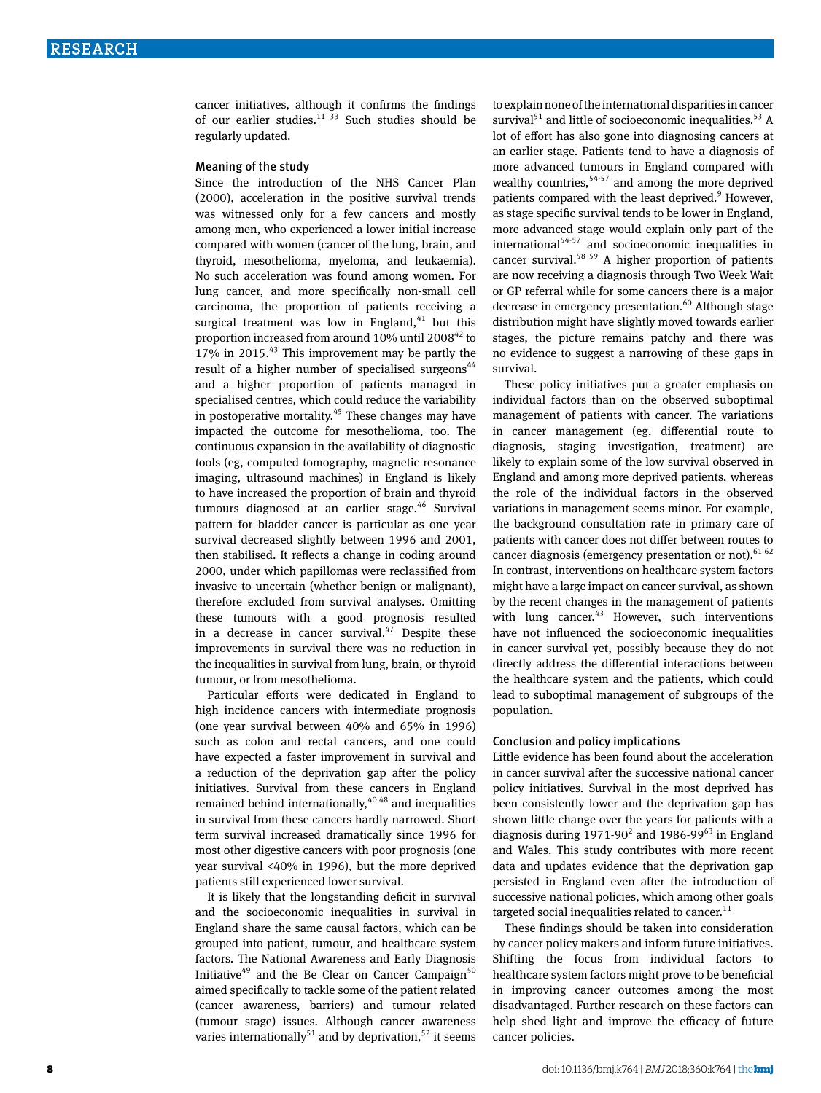cancer initiatives, although it confirms the findings of our earlier studies. $11^{33}$  Such studies should be regularly updated.

#### Meaning of the study

Since the introduction of the NHS Cancer Plan (2000), acceleration in the positive survival trends was witnessed only for a few cancers and mostly among men, who experienced a lower initial increase compared with women (cancer of the lung, brain, and thyroid, mesothelioma, myeloma, and leukaemia). No such acceleration was found among women. For lung cancer, and more specifically non-small cell carcinoma, the proportion of patients receiving a surgical treatment was low in England, $41$  but this proportion increased from around  $10\%$  until 2008<sup>42</sup> to 17% in 2015. $^{43}$  This improvement may be partly the result of a higher number of specialised surgeons<sup>44</sup> and a higher proportion of patients managed in specialised centres, which could reduce the variability in postoperative mortality.<sup>45</sup> These changes may have impacted the outcome for mesothelioma, too. The continuous expansion in the availability of diagnostic tools (eg, computed tomography, magnetic resonance imaging, ultrasound machines) in England is likely to have increased the proportion of brain and thyroid tumours diagnosed at an earlier stage.<sup>46</sup> Survival pattern for bladder cancer is particular as one year survival decreased slightly between 1996 and 2001, then stabilised. It reflects a change in coding around 2000, under which papillomas were reclassified from invasive to uncertain (whether benign or malignant), therefore excluded from survival analyses. Omitting these tumours with a good prognosis resulted in a decrease in cancer survival. $47$  Despite these improvements in survival there was no reduction in the inequalities in survival from lung, brain, or thyroid tumour, or from mesothelioma.

Particular efforts were dedicated in England to high incidence cancers with intermediate prognosis (one year survival between 40% and 65% in 1996) such as colon and rectal cancers, and one could have expected a faster improvement in survival and a reduction of the deprivation gap after the policy initiatives. Survival from these cancers in England remained behind internationally, $4048$  and inequalities in survival from these cancers hardly narrowed. Short term survival increased dramatically since 1996 for most other digestive cancers with poor prognosis (one year survival <40% in 1996), but the more deprived patients still experienced lower survival.

It is likely that the longstanding deficit in survival and the socioeconomic inequalities in survival in England share the same causal factors, which can be grouped into patient, tumour, and healthcare system factors. The National Awareness and Early Diagnosis Initiative<sup>49</sup> and the Be Clear on Cancer Campaign<sup>50</sup> aimed specifically to tackle some of the patient related (cancer awareness, barriers) and tumour related (tumour stage) issues. Although cancer awareness varies internationally<sup>51</sup> and by deprivation,<sup>52</sup> it seems to explain none of the international disparities in cancer survival<sup>51</sup> and little of socioeconomic inequalities.<sup>53</sup> A lot of effort has also gone into diagnosing cancers at an earlier stage. Patients tend to have a diagnosis of more advanced tumours in England compared with wealthy countries,  $54-57$  and among the more deprived patients compared with the least deprived.<sup>9</sup> However, as stage specific survival tends to be lower in England, more advanced stage would explain only part of the international54-57 and socioeconomic inequalities in cancer survival.<sup>58 59</sup> A higher proportion of patients are now receiving a diagnosis through Two Week Wait or GP referral while for some cancers there is a major decrease in emergency presentation.<sup>60</sup> Although stage distribution might have slightly moved towards earlier stages, the picture remains patchy and there was no evidence to suggest a narrowing of these gaps in survival.

These policy initiatives put a greater emphasis on individual factors than on the observed suboptimal management of patients with cancer. The variations in cancer management (eg, differential route to diagnosis, staging investigation, treatment) are likely to explain some of the low survival observed in England and among more deprived patients, whereas the role of the individual factors in the observed variations in management seems minor. For example, the background consultation rate in primary care of patients with cancer does not differ between routes to cancer diagnosis (emergency presentation or not).<sup>61 62</sup> In contrast, interventions on healthcare system factors might have a large impact on cancer survival, as shown by the recent changes in the management of patients with lung cancer. $43$  However, such interventions have not influenced the socioeconomic inequalities in cancer survival yet, possibly because they do not directly address the differential interactions between the healthcare system and the patients, which could lead to suboptimal management of subgroups of the population.

# Conclusion and policy implications

Little evidence has been found about the acceleration in cancer survival after the successive national cancer policy initiatives. Survival in the most deprived has been consistently lower and the deprivation gap has shown little change over the years for patients with a diagnosis during  $1971-90^2$  and  $1986-99^{63}$  in England and Wales. This study contributes with more recent data and updates evidence that the deprivation gap persisted in England even after the introduction of successive national policies, which among other goals targeted social inequalities related to cancer. $^{11}$ 

These findings should be taken into consideration by cancer policy makers and inform future initiatives. Shifting the focus from individual factors to healthcare system factors might prove to be beneficial in improving cancer outcomes among the most disadvantaged. Further research on these factors can help shed light and improve the efficacy of future cancer policies.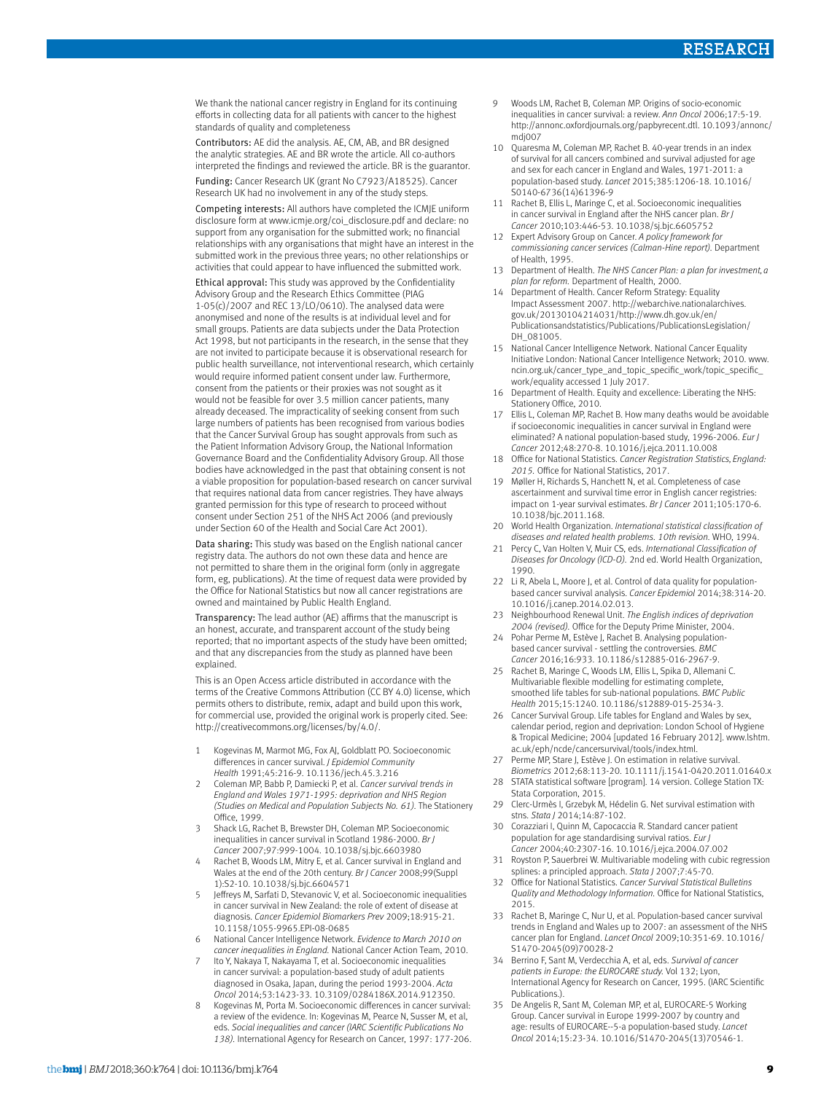We thank the national cancer registry in England for its continuing efforts in collecting data for all patients with cancer to the highest standards of quality and completeness

Contributors: AE did the analysis. AE, CM, AB, and BR designed the analytic strategies. AE and BR wrote the article. All co-authors interpreted the findings and reviewed the article. BR is the guarantor.

Funding: Cancer Research UK (grant No C7923/A18525). Cancer Research UK had no involvement in any of the study steps.

Competing interests: All authors have completed the ICMJE uniform disclosure form at [www.icmje.org/coi\\_disclosure.pdf](http://www.icmje.org/coi_disclosure.pdf) and declare: no support from any organisation for the submitted work; no financial relationships with any organisations that might have an interest in the submitted work in the previous three years; no other relationships or activities that could appear to have influenced the submitted work.

Ethical approval: This study was approved by the Confidentiality Advisory Group and the Research Ethics Committee (PIAG 1-05(c)/2007 and REC 13/LO/0610). The analysed data were anonymised and none of the results is at individual level and for small groups. Patients are data subjects under the Data Protection Act 1998, but not participants in the research, in the sense that they are not invited to participate because it is observational research for public health surveillance, not interventional research, which certainly would require informed patient consent under law. Furthermore, consent from the patients or their proxies was not sought as it would not be feasible for over 3.5 million cancer patients, many already deceased. The impracticality of seeking consent from such large numbers of patients has been recognised from various bodies that the Cancer Survival Group has sought approvals from such as the Patient Information Advisory Group, the National Information Governance Board and the Confidentiality Advisory Group. All those bodies have acknowledged in the past that obtaining consent is not a viable proposition for population-based research on cancer survival that requires national data from cancer registries. They have always granted permission for this type of research to proceed without consent under Section 251 of the NHS Act 2006 (and previously under Section 60 of the Health and Social Care Act 2001).

Data sharing: This study was based on the English national cancer registry data. The authors do not own these data and hence are not permitted to share them in the original form (only in aggregate form, eg, publications). At the time of request data were provided by the Office for National Statistics but now all cancer registrations are owned and maintained by Public Health England.

Transparency: The lead author (AE) affirms that the manuscript is an honest, accurate, and transparent account of the study being reported; that no important aspects of the study have been omitted; and that any discrepancies from the study as planned have been explained.

This is an Open Access article distributed in accordance with the terms of the Creative Commons Attribution (CC BY 4.0) license, which permits others to distribute, remix, adapt and build upon this work, for commercial use, provided the original work is properly cited. See: [http://creativecommons.org/licenses/by/4.0/.](http://creativecommons.org/licenses/by/4.0/)

- 1 Kogevinas M, Marmot MG, Fox AJ, Goldblatt PO. Socioeconomic differences in cancer survival. *J Epidemiol Community Health* 1991;45:216-9. 10.1136/jech.45.3.216
- 2 Coleman MP, Babb P, Damiecki P, et al. *Cancer survival trends in England and Wales 1971-1995: deprivation and NHS Region (Studies on Medical and Population Subjects No. 61).* The Stationery Office, 1999.
- 3 Shack LG, Rachet B, Brewster DH, Coleman MP. Socioeconomic inequalities in cancer survival in Scotland 1986-2000. *Br J Cancer* 2007;97:999-1004. 10.1038/sj.bjc.6603980
- 4 Rachet B, Woods LM, Mitry E, et al. Cancer survival in England and Wales at the end of the 20th century. *Br J Cancer* 2008;99(Suppl 1):S2-10. 10.1038/sj.bjc.6604571
- Jeffreys M, Sarfati D, Stevanovic V, et al. Socioeconomic inequalities in cancer survival in New Zealand: the role of extent of disease at diagnosis. *Cancer Epidemiol Biomarkers Prev* 2009;18:915-21. 10.1158/1055-9965.EPI-08-0685
- 6 National Cancer Intelligence Network. *Evidence to March 2010 on cancer inequalities in England.* National Cancer Action Team, 2010.
- Ito Y, Nakaya T, Nakayama T, et al. Socioeconomic inequalities in cancer survival: a population-based study of adult patients diagnosed in Osaka, Japan, during the period 1993-2004. *Acta Oncol* 2014;53:1423-33. 10.3109/0284186X.2014.912350.
- 8 Kogevinas M, Porta M. Socioeconomic differences in cancer survival: a review of the evidence. In: Kogevinas M, Pearce N, Susser M, et al, eds. *Social inequalities and cancer (IARC Scientific Publications No 138).* International Agency for Research on Cancer, 1997: 177-206.
- 9 Woods LM, Rachet B, Coleman MP. Origins of socio-economic inequalities in cancer survival: a review. *Ann Oncol* 2006;17:5-19. <http://annonc.oxfordjournals.org/papbyrecent.dtl>. 10.1093/annonc/ mdj007
- 10 Quaresma M, Coleman MP, Rachet B. 40-year trends in an index of survival for all cancers combined and survival adjusted for age and sex for each cancer in England and Wales, 1971-2011: a population-based study. *Lancet* 2015;385:1206-18. 10.1016/ S0140-6736(14)61396-9
- 11 Rachet B, Ellis L, Maringe C, et al. Socioeconomic inequalities in cancer survival in England after the NHS cancer plan. *Br J Cancer* 2010;103:446-53. 10.1038/sj.bjc.6605752
- 12 Expert Advisory Group on Cancer. *A policy framework for commissioning cancer services (Calman-Hine report).* Department of Health, 1995.
- 13 Department of Health. *The NHS Cancer Plan: a plan for investment, a plan for reform.* Department of Health, 2000.
- 14 Department of Health. Cancer Reform Strategy: Equality Impact Assessment 2007. [http://webarchive.nationalarchives.](http://webarchive.nationalarchives.gov.uk/20130104214031/http://www.dh.gov.uk/en/Publicationsandstatistics/Publications/PublicationsLegislation/DH_081005) [gov.uk/20130104214031/http://www.dh.gov.uk/en/](http://webarchive.nationalarchives.gov.uk/20130104214031/http://www.dh.gov.uk/en/Publicationsandstatistics/Publications/PublicationsLegislation/DH_081005) [Publicationsandstatistics/Publications/PublicationsLegislation/](http://webarchive.nationalarchives.gov.uk/20130104214031/http://www.dh.gov.uk/en/Publicationsandstatistics/Publications/PublicationsLegislation/DH_081005) [DH\\_081005](http://webarchive.nationalarchives.gov.uk/20130104214031/http://www.dh.gov.uk/en/Publicationsandstatistics/Publications/PublicationsLegislation/DH_081005).
- 15 National Cancer Intelligence Network. National Cancer Equality Initiative London: National Cancer Intelligence Network; 2010. [www.](http://www.ncin.org.uk/cancer_type_and_topic_specific_work/topic_specific_work/equality) [ncin.org.uk/cancer\\_type\\_and\\_topic\\_specific\\_work/topic\\_specific\\_](http://www.ncin.org.uk/cancer_type_and_topic_specific_work/topic_specific_work/equality) [work/equality](http://www.ncin.org.uk/cancer_type_and_topic_specific_work/topic_specific_work/equality) accessed 1 July 2017.
- Department of Health. Equity and excellence: Liberating the NHS: Stationery Office, 2010.
- 17 Ellis L, Coleman MP, Rachet B. How many deaths would be avoidable if socioeconomic inequalities in cancer survival in England were eliminated? A national population-based study, 1996-2006. *Eur J Cancer* 2012;48:270-8. 10.1016/j.ejca.2011.10.008
- 18 Office for National Statistics. *Cancer Registration Statistics, England: 2015.* Office for National Statistics, 2017.
- 19 Møller H, Richards S, Hanchett N, et al. Completeness of case ascertainment and survival time error in English cancer registries: impact on 1-year survival estimates. *Br J Cancer* 2011;105:170-6. 10.1038/bjc.2011.168.
- 20 World Health Organization. *International statistical classification of diseases and related health problems. 10th revision.* WHO, 1994.
- 21 Percy C, Van Holten V, Muir CS, eds. *International Classification of Diseases for Oncology (ICD-O).* 2nd ed. World Health Organization, 1990.
- 22 Li R, Abela L, Moore J, et al. Control of data quality for populationbased cancer survival analysis. *Cancer Epidemiol* 2014;38:314-20. 10.1016/j.canep.2014.02.013.
- 23 Neighbourhood Renewal Unit. *The English indices of deprivation 2004 (revised).* Office for the Deputy Prime Minister, 2004.
- 24 Pohar Perme M, Estève J, Rachet B. Analysing populationbased cancer survival - settling the controversies. *BMC Cancer* 2016;16:933. 10.1186/s12885-016-2967-9.
- 25 Rachet B, Maringe C, Woods LM, Ellis L, Spika D, Allemani C. Multivariable flexible modelling for estimating complete, smoothed life tables for sub-national populations. *BMC Public Health* 2015;15:1240. 10.1186/s12889-015-2534-3.
- 26 Cancer Survival Group. Life tables for England and Wales by sex, calendar period, region and deprivation: London School of Hygiene & Tropical Medicine; 2004 [updated 16 February 2012]. [www.lshtm.](http://www.lshtm.ac.uk/eph/ncde/cancersurvival/tools/index.html) [ac.uk/eph/ncde/cancersurvival/tools/index.html.](http://www.lshtm.ac.uk/eph/ncde/cancersurvival/tools/index.html)
- 27 Perme MP, Stare J, Estève J. On estimation in relative survival. *Biometrics* 2012;68:113-20. 10.1111/j.1541-0420.2011.01640.x
- 28 STATA statistical software [program]. 14 version. College Station TX: Stata Corporation, 2015.
- 29 Clerc-Urmès I, Grzebyk M, Hédelin G. Net survival estimation with stns. *Stata J* 2014;14:87-102.
- 30 Corazziari I, Quinn M, Capocaccia R. Standard cancer patient population for age standardising survival ratios. *Eur J Cancer* 2004;40:2307-16. 10.1016/j.ejca.2004.07.002
- 31 Royston P, Sauerbrei W. Multivariable modeling with cubic regression splines: a principled approach. *Stata J* 2007;7:45-70.
- 32 Office for National Statistics. *Cancer Survival Statistical Bulletins Quality and Methodology Information.* Office for National Statistics, 2015.
- 33 Rachet B, Maringe C, Nur U, et al. Population-based cancer survival trends in England and Wales up to 2007: an assessment of the NHS cancer plan for England. *Lancet Oncol* 2009;10:351-69. 10.1016/ S1470-2045(09)70028-2
- 34 Berrino F, Sant M, Verdecchia A, et al, eds. *Survival of cancer patients in Europe: the EUROCARE study.* Vol 132; Lyon, International Agency for Research on Cancer, 1995. (IARC Scientific Publications.).
- 35 De Angelis R, Sant M, Coleman MP, et al, EUROCARE-5 Working Group. Cancer survival in Europe 1999-2007 by country and age: results of EUROCARE--5-a population-based study. *Lancet Oncol* 2014;15:23-34. 10.1016/S1470-2045(13)70546-1.